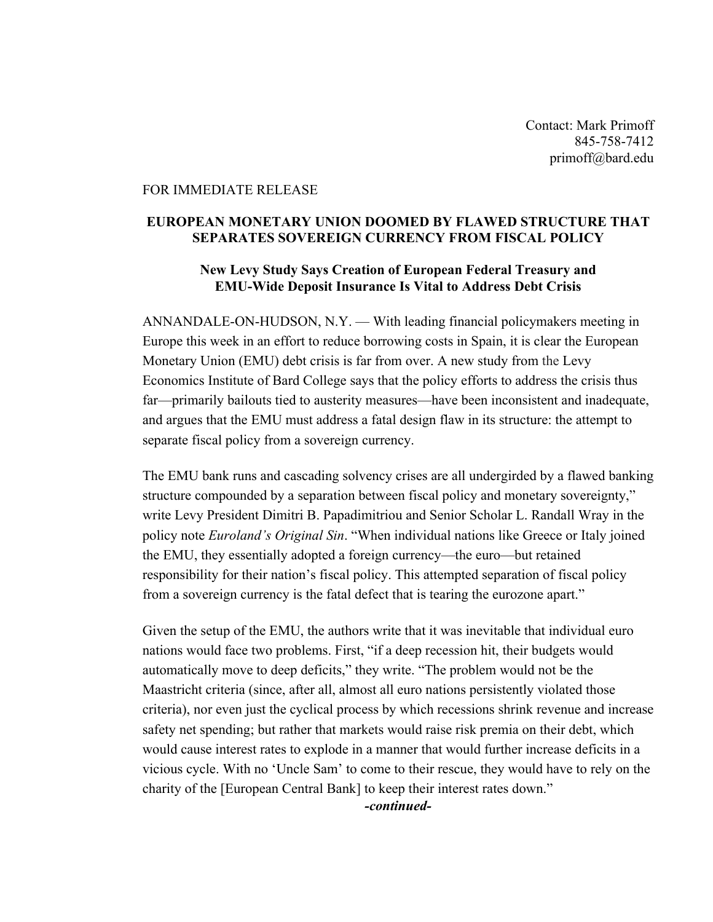Contact: Mark Primoff 845-758-7412 primoff@bard.edu

## FOR IMMEDIATE RELEASE

## **EUROPEAN MONETARY UNION DOOMED BY FLAWED STRUCTURE THAT SEPARATES SOVEREIGN CURRENCY FROM FISCAL POLICY**

## **New Levy Study Says Creation of European Federal Treasury and EMU-Wide Deposit Insurance Is Vital to Address Debt Crisis**

ANNANDALE-ON-HUDSON, N.Y. — With leading financial policymakers meeting in Europe this week in an effort to reduce borrowing costs in Spain, it is clear the European Monetary Union (EMU) debt crisis is far from over. A new study from the Levy Economics Institute of Bard College says that the policy efforts to address the crisis thus far—primarily bailouts tied to austerity measures—have been inconsistent and inadequate, and argues that the EMU must address a fatal design flaw in its structure: the attempt to separate fiscal policy from a sovereign currency.

The EMU bank runs and cascading solvency crises are all undergirded by a flawed banking structure compounded by a separation between fiscal policy and monetary sovereignty," write Levy President Dimitri B. Papadimitriou and Senior Scholar L. Randall Wray in the policy note *Euroland's Original Sin*. "When individual nations like Greece or Italy joined the EMU, they essentially adopted a foreign currency—the euro—but retained responsibility for their nation's fiscal policy. This attempted separation of fiscal policy from a sovereign currency is the fatal defect that is tearing the eurozone apart."

Given the setup of the EMU, the authors write that it was inevitable that individual euro nations would face two problems. First, "if a deep recession hit, their budgets would automatically move to deep deficits," they write. "The problem would not be the Maastricht criteria (since, after all, almost all euro nations persistently violated those criteria), nor even just the cyclical process by which recessions shrink revenue and increase safety net spending; but rather that markets would raise risk premia on their debt, which would cause interest rates to explode in a manner that would further increase deficits in a vicious cycle. With no 'Uncle Sam' to come to their rescue, they would have to rely on the charity of the [European Central Bank] to keep their interest rates down."

*-continued-*